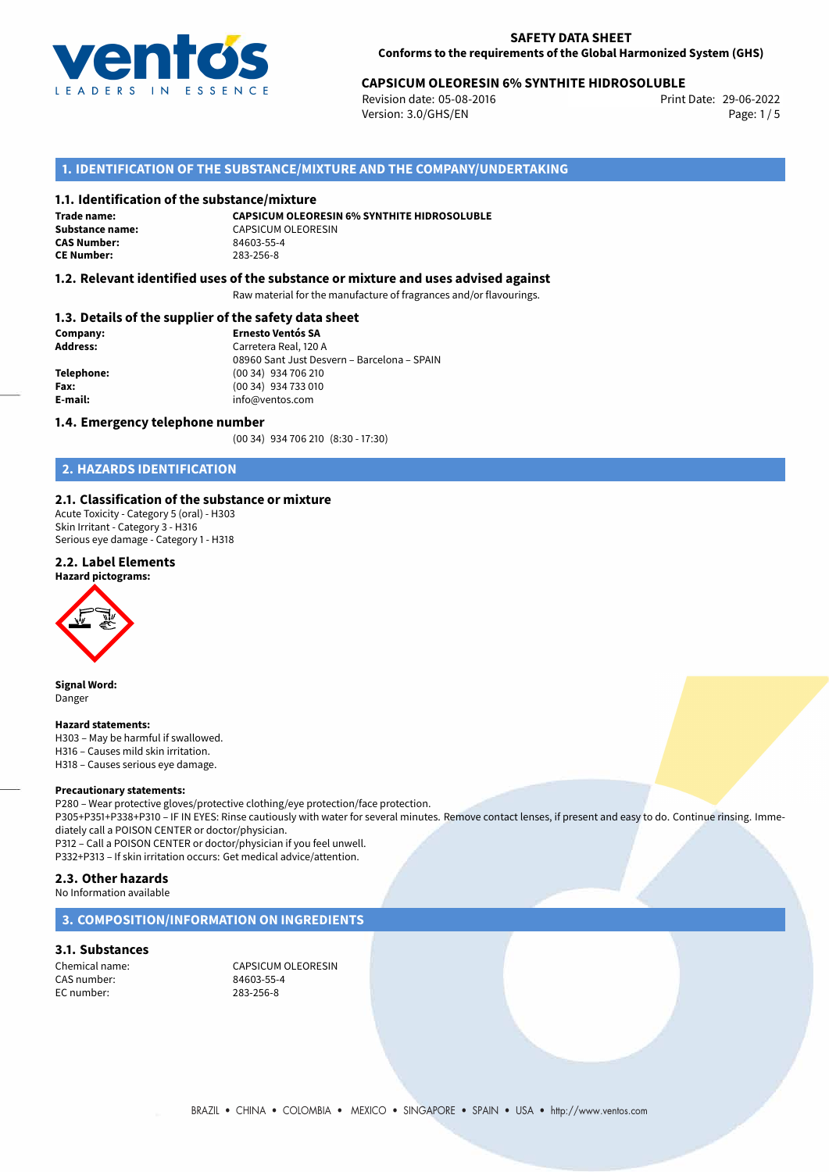

## 29-06-2022 **CAPSICUM OLEORESIN 6% SYNTHITE HIDROSOLUBLE**

Revision date: 05-08-2016 Version: 3.0/GHS/EN Page: 1/5

## **1. IDENTIFICATION OF THE SUBSTANCE/MIXTURE AND THE COMPANY/UNDERTAKING**

#### **1.1. Identification of the substance/mixture**

**Trade name: CAS Number: CE Number:** 283-256-8

**CAPSICUM OLEORESIN 6% SYNTHITE HIDROSOLUBLE Substance name:** CAPSICUM OLEORESIN<br> **CAS Number:** 84603-55-4

#### **1.2. Relevant identified uses of the substance or mixture and uses advised against**

Raw material for the manufacture of fragrances and/or flavourings.

#### **1.3. Details of the supplier of the safety data sheet**

| Company:        | <b>Ernesto Ventós SA</b>                    |  |
|-----------------|---------------------------------------------|--|
| <b>Address:</b> | Carretera Real, 120 A                       |  |
|                 | 08960 Sant Just Desvern - Barcelona - SPAIN |  |
| Telephone:      | (00 34) 934 706 210                         |  |
| Fax:            | (00 34) 934 733 010                         |  |
| E-mail:         | info@ventos.com                             |  |
|                 |                                             |  |

#### **1.4. Emergency telephone number**

(00 34) 934 706 210 (8:30 - 17:30)

## **2. HAZARDS IDENTIFICATION**

#### **2.1. Classification of the substance or mixture**

Acute Toxicity - Category 5 (oral) - H303 Skin Irritant - Category 3 - H316 Serious eye damage - Category 1 - H318

#### **2.2. Label Elements**

**Hazard pictograms:**



**Signal Word:** Danger

#### **Hazard statements:**

H303 – May be harmful if swallowed. H316 – Causes mild skin irritation. H318 – Causes serious eye damage.

#### **Precautionary statements:**

P280 – Wear protective gloves/protective clothing/eye protection/face protection. P305+P351+P338+P310 – IF IN EYES: Rinse cautiously with water for several minutes. Remove contact lenses, if present and easy to do. Continue rinsing. Immediately call a POISON CENTER or doctor/physician. P312 – Call a POISON CENTER or doctor/physician if you feel unwell.

P332+P313 – If skin irritation occurs: Get medical advice/attention.

### **2.3. Other hazards**

No Information available

#### **3. COMPOSITION/INFORMATION ON INGREDIENTS**

#### **3.1. Substances**

CAS number: EC number: 283-256-8

Chemical name:<br>
CAS number:<br>
CAS number:<br>
CAS number: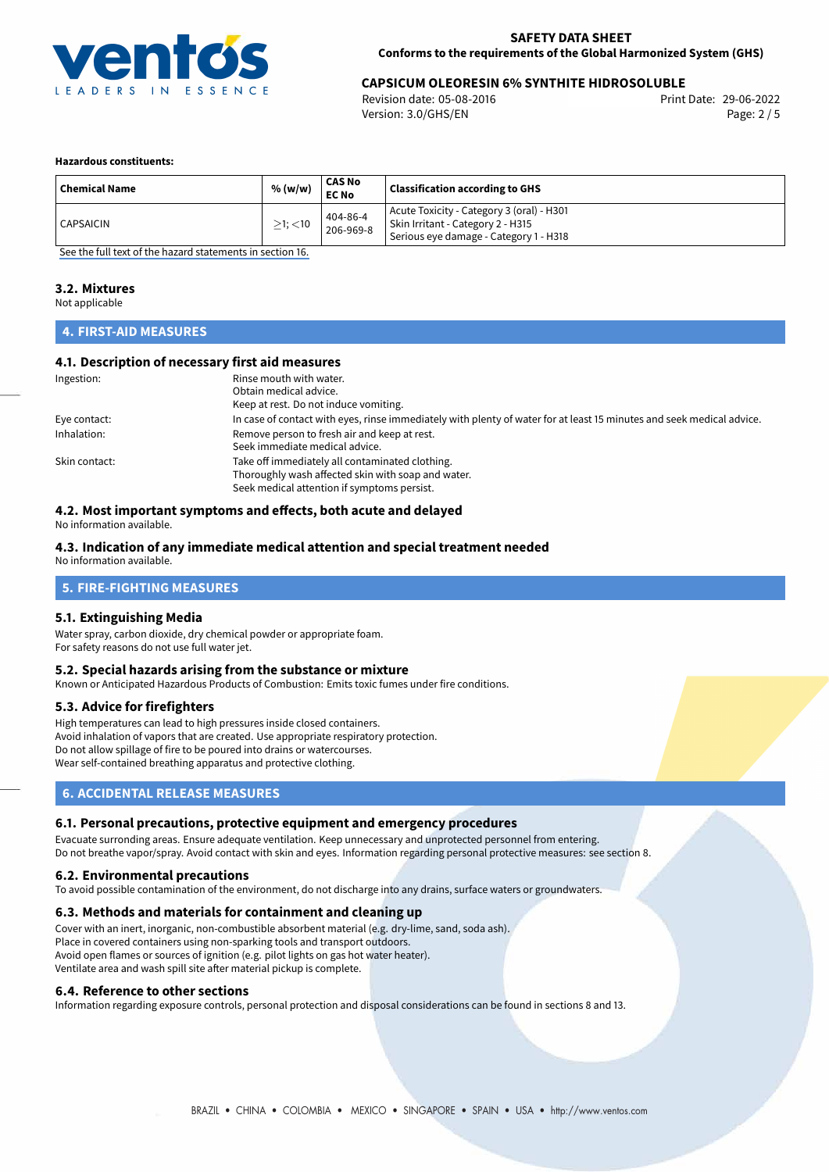

## 29-06-2022 **CAPSICUM OLEORESIN 6% SYNTHITE HIDROSOLUBLE**

Revision date: 05-08-2016 Version: 3.0/GHS/EN Page: 2 / 5

#### **Hazardous constituents:**

| ' Chemical Name  | % (w/w)          | CAS No<br><b>EC No</b> | <b>Classification according to GHS</b>                                                                                   |
|------------------|------------------|------------------------|--------------------------------------------------------------------------------------------------------------------------|
| <b>CAPSAICIN</b> | $\geq$ 1; $<$ 10 | 404-86-4<br>206-969-8  | Acute Toxicity - Category 3 (oral) - H301<br>Skin Irritant - Category 2 - H315<br>Serious eye damage - Category 1 - H318 |

[See the full text of the hazard statements in section 16.](#page-4-0)

#### **3.2. Mixtures**

Not applicable

## **4. FIRST-AID MEASURES**

#### **4.1. Description of necessary first aid measures**

| Ingestion:    | Rinse mouth with water.                                                                                               |
|---------------|-----------------------------------------------------------------------------------------------------------------------|
|               | Obtain medical advice.                                                                                                |
|               | Keep at rest. Do not induce vomiting.                                                                                 |
| Eye contact:  | In case of contact with eyes, rinse immediately with plenty of water for at least 15 minutes and seek medical advice. |
| Inhalation:   | Remove person to fresh air and keep at rest.                                                                          |
|               | Seek immediate medical advice.                                                                                        |
| Skin contact: | Take off immediately all contaminated clothing.                                                                       |
|               | Thoroughly wash affected skin with soap and water.                                                                    |
|               | Seek medical attention if symptoms persist.                                                                           |

## **4.2. Most important symptoms and effects, both acute and delayed**

No information available.

#### **4.3. Indication of any immediate medical attention and special treatment needed**

No information available.

## **5. FIRE-FIGHTING MEASURES**

#### **5.1. Extinguishing Media**

Water spray, carbon dioxide, dry chemical powder or appropriate foam. For safety reasons do not use full water jet.

#### **5.2. Special hazards arising from the substance or mixture**

Known or Anticipated Hazardous Products of Combustion: Emits toxic fumes under fire conditions.

#### **5.3. Advice for firefighters**

High temperatures can lead to high pressures inside closed containers. Avoid inhalation of vapors that are created. Use appropriate respiratory protection. Do not allow spillage of fire to be poured into drains or watercourses. Wear self-contained breathing apparatus and protective clothing.

## **6. ACCIDENTAL RELEASE MEASURES**

#### **6.1. Personal precautions, protective equipment and emergency procedures**

Evacuate surronding areas. Ensure adequate ventilation. Keep unnecessary and unprotected personnel from entering. Do not breathe vapor/spray. Avoid contact with skin and eyes. Information regarding personal protective measures: see section 8.

#### **6.2. Environmental precautions**

To avoid possible contamination of the environment, do not discharge into any drains, surface waters or groundwaters.

#### **6.3. Methods and materials for containment and cleaning up**

Cover with an inert, inorganic, non-combustible absorbent material (e.g. dry-lime, sand, soda ash). Place in covered containers using non-sparking tools and transport outdoors. Avoid open flames or sources of ignition (e.g. pilot lights on gas hot water heater). Ventilate area and wash spill site after material pickup is complete.

#### **6.4. Reference to other sections**

Information regarding exposure controls, personal protection and disposal considerations can be found in sections 8 and 13.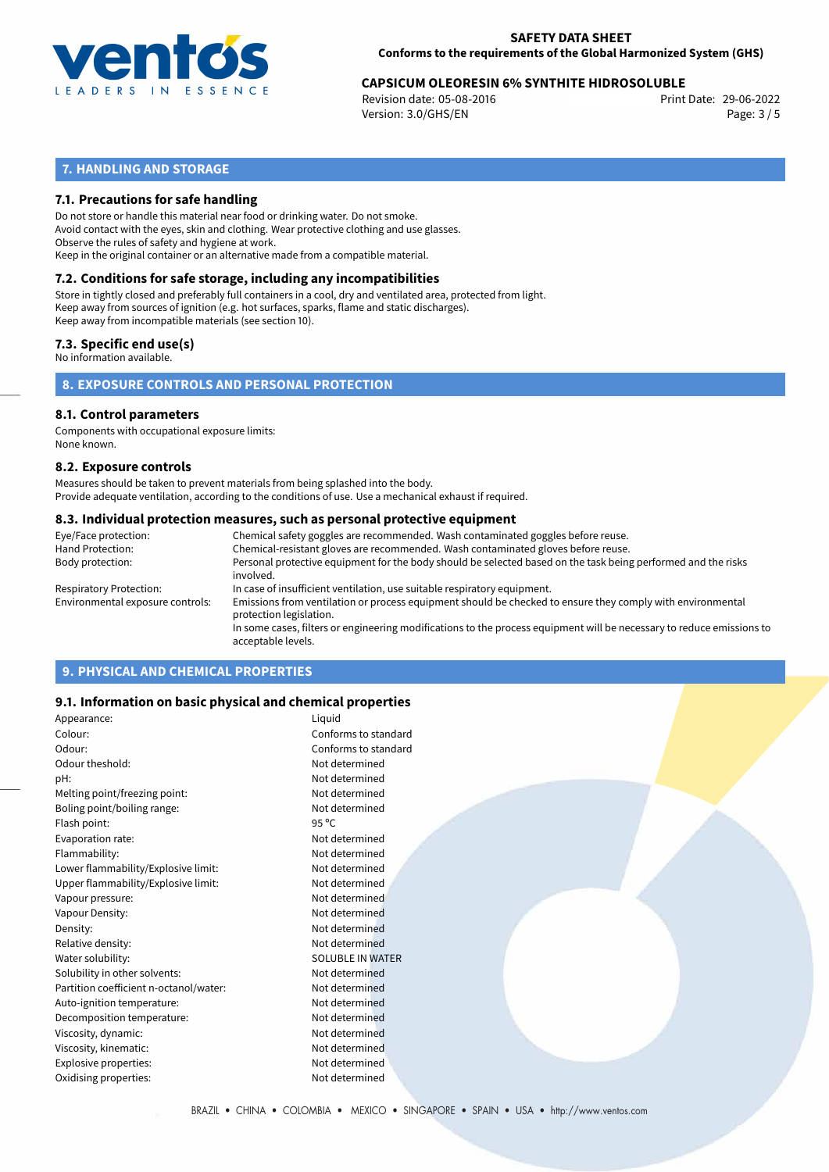

# 29-06-2022 **CAPSICUM OLEORESIN 6% SYNTHITE HIDROSOLUBLE**

Revision date: 05-08-2016 Version: 3.0/GHS/EN Page: 3 / 5

## **7. HANDLING AND STORAGE**

### **7.1. Precautions for safe handling**

Do not store or handle this material near food or drinking water. Do not smoke. Avoid contact with the eyes, skin and clothing. Wear protective clothing and use glasses. Observe the rules of safety and hygiene at work. Keep in the original container or an alternative made from a compatible material.

## **7.2. Conditions for safe storage, including any incompatibilities**

Store in tightly closed and preferably full containers in a cool, dry and ventilated area, protected from light. Keep away from sources of ignition (e.g. hot surfaces, sparks, flame and static discharges). Keep away from incompatible materials (see section 10).

#### **7.3. Specific end use(s)**

No information available.

**8. EXPOSURE CONTROLS AND PERSONAL PROTECTION**

#### **8.1. Control parameters**

Components with occupational exposure limits: None known.

#### **8.2. Exposure controls**

Measures should be taken to prevent materials from being splashed into the body. Provide adequate ventilation, according to the conditions of use. Use a mechanical exhaust if required.

#### **8.3. Individual protection measures, such as personal protective equipment**

| Eye/Face protection:             | Chemical safety goggles are recommended. Wash contaminated goggles before reuse.                                                            |
|----------------------------------|---------------------------------------------------------------------------------------------------------------------------------------------|
| Hand Protection:                 | Chemical-resistant gloves are recommended. Wash contaminated gloves before reuse.                                                           |
| Body protection:                 | Personal protective equipment for the body should be selected based on the task being performed and the risks<br>involved.                  |
| Respiratory Protection:          | In case of insufficient ventilation, use suitable respiratory equipment.                                                                    |
| Environmental exposure controls: | Emissions from ventilation or process equipment should be checked to ensure they comply with environmental<br>protection legislation.       |
|                                  | In some cases, filters or engineering modifications to the process equipment will be necessary to reduce emissions to<br>acceptable levels. |
|                                  |                                                                                                                                             |

## **9. PHYSICAL AND CHEMICAL PROPERTIES**

#### **9.1. Information on basic physical and chemical properties**

| Appearance:                            | Liquid                  |
|----------------------------------------|-------------------------|
| Colour:                                | Conforms to standard    |
| Odour:                                 | Conforms to standard    |
| Odour theshold:                        | Not determined          |
| pH:                                    | Not determined          |
| Melting point/freezing point:          | Not determined          |
| Boling point/boiling range:            | Not determined          |
| Flash point:                           | $95^{\circ}$ C          |
| Evaporation rate:                      | Not determined          |
| Flammability:                          | Not determined          |
| Lower flammability/Explosive limit:    | Not determined          |
| Upper flammability/Explosive limit:    | Not determined          |
| Vapour pressure:                       | Not determined          |
| Vapour Density:                        | Not determined          |
| Density:                               | Not determined          |
| Relative density:                      | Not determined          |
| Water solubility:                      | <b>SOLUBLE IN WATER</b> |
| Solubility in other solvents:          | Not determined          |
| Partition coefficient n-octanol/water: | Not determined          |
| Auto-ignition temperature:             | Not determined          |
| Decomposition temperature:             | Not determined          |
| Viscosity, dynamic:                    | Not determined          |
| Viscosity, kinematic:                  | Not determined          |
| Explosive properties:                  | Not determined          |
| Oxidising properties:                  | Not determined          |
|                                        |                         |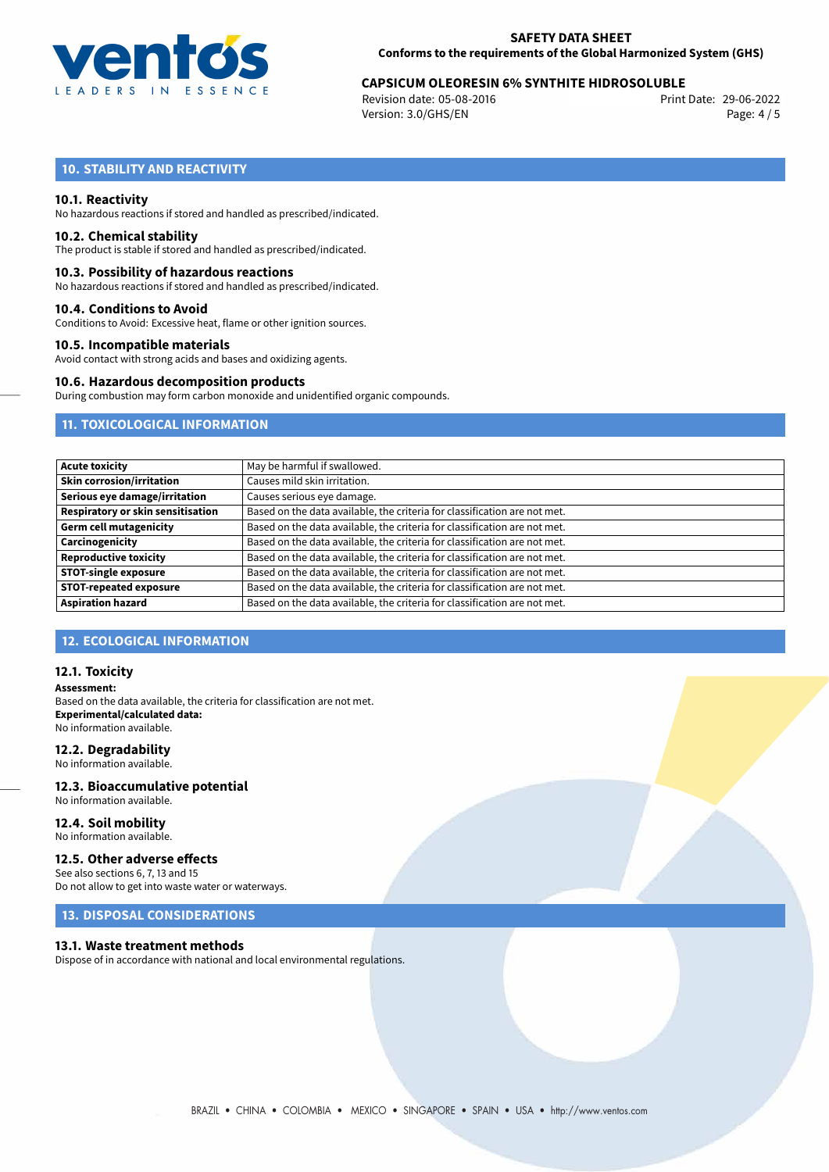

# 29-06-2022 **CAPSICUM OLEORESIN 6% SYNTHITE HIDROSOLUBLE**

Revision date: 05-08-2016 Version: 3.0/GHS/EN Page: 4 / 5

## **10. STABILITY AND REACTIVITY**

#### **10.1. Reactivity**

No hazardous reactions if stored and handled as prescribed/indicated.

### **10.2. Chemical stability**

The product is stable if stored and handled as prescribed/indicated.

#### **10.3. Possibility of hazardous reactions**

No hazardous reactions if stored and handled as prescribed/indicated.

#### **10.4. Conditions to Avoid**

Conditions to Avoid: Excessive heat, flame or other ignition sources.

#### **10.5. Incompatible materials**

Avoid contact with strong acids and bases and oxidizing agents.

#### **10.6. Hazardous decomposition products**

During combustion may form carbon monoxide and unidentified organic compounds.

## **11. TOXICOLOGICAL INFORMATION**

| <b>Acute toxicity</b>             | May be harmful if swallowed.                                              |
|-----------------------------------|---------------------------------------------------------------------------|
| <b>Skin corrosion/irritation</b>  | Causes mild skin irritation.                                              |
| Serious eye damage/irritation     | Causes serious eye damage.                                                |
| Respiratory or skin sensitisation | Based on the data available, the criteria for classification are not met. |
| <b>Germ cell mutagenicity</b>     | Based on the data available, the criteria for classification are not met. |
| Carcinogenicity                   | Based on the data available, the criteria for classification are not met. |
| <b>Reproductive toxicity</b>      | Based on the data available, the criteria for classification are not met. |
| <b>STOT-single exposure</b>       | Based on the data available, the criteria for classification are not met. |
| <b>STOT-repeated exposure</b>     | Based on the data available, the criteria for classification are not met. |
| <b>Aspiration hazard</b>          | Based on the data available, the criteria for classification are not met. |

#### **12. ECOLOGICAL INFORMATION**

#### **12.1. Toxicity**

**Assessment:** Based on the data available, the criteria for classification are not met. **Experimental/calculated data:** No information available.

#### **12.2. Degradability**

No information available.

#### **12.3. Bioaccumulative potential** No information available.

**12.4. Soil mobility**

## No information available.

## **12.5. Other adverse effects**

See also sections 6, 7, 13 and 15 Do not allow to get into waste water or waterways.

## **13. DISPOSAL CONSIDERATIONS**

#### **13.1. Waste treatment methods**

Dispose of in accordance with national and local environmental regulations.